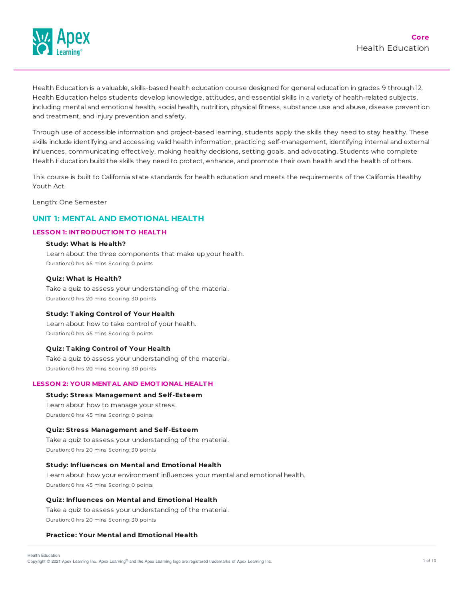

Health Education is a valuable, skills-based health education course designed for general education in grades 9 through 12. Health Education helps students develop knowledge, attitudes, and essential skills in a variety of health-related subjects, including mental and emotional health, social health, nutrition, physical fitness, substance use and abuse, disease prevention and treatment, and injury prevention and safety.

Through use of accessible information and project-based learning, students apply the skills they need to stay healthy. These skills include identifying and accessing valid health information, practicing self-management, identifying internal and external influences, communicating effectively, making healthy decisions, setting goals, and advocating. Students who complete Health Education build the skills they need to protect, enhance, and promote their own health and the health of others.

This course is built to California state standards for health education and meets the requirements of the California Healthy Youth Act.

Length: One Semester

# **UNIT 1: MENTAL AND EMOTIONAL HEALTH**

#### **LESSON 1: INT RODUCT ION T O HEALT H**

#### **Study: What Is Health?**

Learn about the three components that make up your health. Duration: 0 hrs 45 mins Scoring: 0 points

# **Quiz: What Is Health?**

Take a quiz to assess your understanding of the material. Duration: 0 hrs 20 mins Scoring: 30 points

#### **Study: T aking Control of Your Health**

Learn about how to take control of your health. Duration: 0 hrs 45 mins Scoring: 0 points

## **Quiz: T aking Control of Your Health**

Take a quiz to assess your understanding of the material. Duration: 0 hrs 20 mins Scoring: 30 points

# **LESSON 2: YOUR MENT AL AND EMOT IONAL HEALT H**

# **Study: Stress Management and Self-Esteem**

Learn about how to manage your stress. Duration: 0 hrs 45 mins Scoring: 0 points

# **Quiz: Stress Management and Self-Esteem**

Take a quiz to assess your understanding of the material. Duration: 0 hrs 20 mins Scoring: 30 points

#### **Study: Influences on Mental and Emotional Health**

Learn about how your environment influences your mental and emotional health. Duration: 0 hrs 45 mins Scoring: 0 points

# **Quiz: Influences on Mental and Emotional Health**

Take a quiz to assess your understanding of the material. Duration: 0 hrs 20 mins Scoring: 30 points

# **Practice: Your Mental and Emotional Health**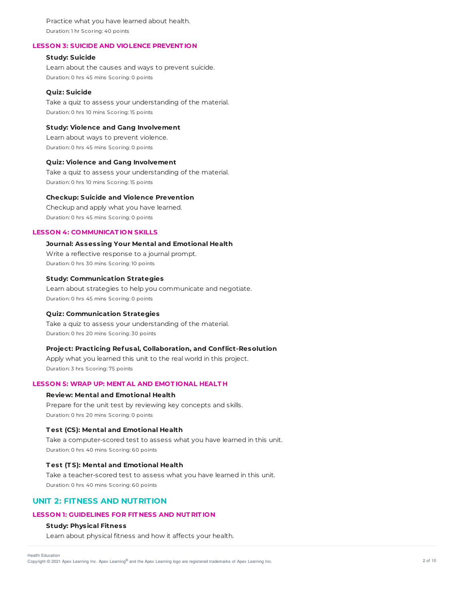Practice what you have learned about health. Duration: 1 hr Scoring: 40 points

## **LESSON 3: SUICIDE AND VIOLENCE PREVENT ION**

## **Study: Suicide**

Learn about the causes and ways to prevent suicide. Duration: 0 hrs 45 mins Scoring: 0 points

## **Quiz: Suicide**

Take a quiz to assess your understanding of the material. Duration: 0 hrs 10 mins Scoring: 15 points

## **Study: Violence and Gang Involvement**

Learn about ways to prevent violence. Duration: 0 hrs 45 mins Scoring: 0 points

# **Quiz: Violence and Gang Involvement**

Take a quiz to assess your understanding of the material. Duration: 0 hrs 10 mins Scoring: 15 points

#### **Checkup: Suicide and Violence Prevention**

Checkup and apply what you have learned. Duration: 0 hrs 45 mins Scoring: 0 points

## **LESSON 4: COMMUNICAT ION SKILLS**

#### **Journal: Assessing Your Mental and Emotional Health**

Write a reflective response to a journal prompt. Duration: 0 hrs 30 mins Scoring: 10 points

# **Study: Communication Strategies**

Learn about strategies to help you communicate and negotiate. Duration: 0 hrs 45 mins Scoring: 0 points

#### **Quiz: Communication Strategies**

Take a quiz to assess your understanding of the material. Duration: 0 hrs 20 mins Scoring: 30 points

# **Project: Practicing Refusal, Collaboration, and Conflict-Resolution**

Apply what you learned this unit to the real world in this project. Duration: 3 hrs Scoring: 75 points

# **LESSON 5: WRAP UP: MENT AL AND EMOT IONAL HEALT H**

## **Review: Mental and Emotional Health**

Prepare for the unit test by reviewing key concepts and skills. Duration: 0 hrs 20 mins Scoring: 0 points

# **T est (CS): Mental and Emotional Health**

Take a computer-scored test to assess what you have learned in this unit. Duration: 0 hrs 40 mins Scoring: 60 points

#### **T est (T S): Mental and Emotional Health**

Take a teacher-scored test to assess what you have learned in this unit. Duration: 0 hrs 40 mins Scoring: 60 points

# **UNIT 2: FITNESS AND NUTRITION**

### **LESSON 1: GUIDELINES FOR FIT NESS AND NUT RIT ION**

# **Study: Physical Fitness**

Learn about physical fitness and how it affects your health.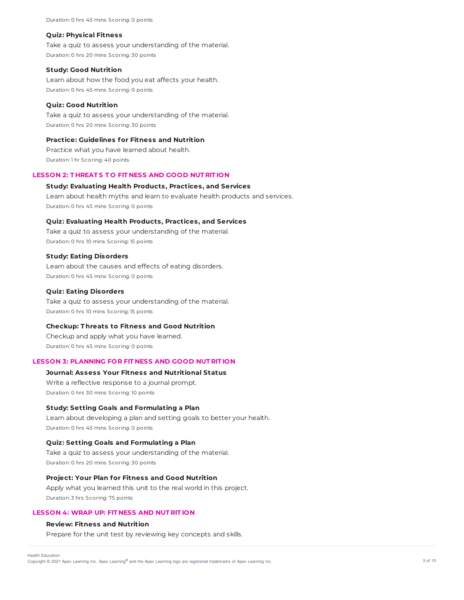Duration: 0 hrs 45 mins Scoring: 0 points

#### **Quiz: Physical Fitness**

Take a quiz to assess your understanding of the material. Duration: 0 hrs 20 mins Scoring: 30 points

### **Study: Good Nutrition**

Learn about how the food you eat affects your health. Duration: 0 hrs 45 mins Scoring: 0 points

## **Quiz: Good Nutrition**

Take a quiz to assess your understanding of the material. Duration: 0 hrs 20 mins Scoring: 30 points

## **Practice: Guidelines for Fitness and Nutrition**

Practice what you have learned about health. Duration: 1 hr Scoring: 40 points

# **LESSON 2: T HREAT S T O FIT NESS AND GOOD NUT RIT ION**

### **Study: Evaluating Health Products, Practices, and Services**

Learn about health myths and learn to evaluate health products and services. Duration: 0 hrs 45 mins Scoring: 0 points

## **Quiz: Evaluating Health Products, Practices, and Services**

Take a quiz to assess your understanding of the material. Duration: 0 hrs 10 mins Scoring: 15 points

## **Study: Eating Disorders**

Learn about the causes and effects of eating disorders. Duration: 0 hrs 45 mins Scoring: 0 points

## **Quiz: Eating Disorders**

Take a quiz to assess your understanding of the material. Duration: 0 hrs 10 mins Scoring: 15 points

### **Checkup: T hreats to Fitness and Good Nutrition**

Checkup and apply what you have learned. Duration: 0 hrs 45 mins Scoring: 0 points

# **LESSON 3: PLANNING FOR FIT NESS AND GOOD NUT RIT ION**

#### **Journal: Assess Your Fitness and Nutritional Status**

Write a reflective response to a journal prompt. Duration: 0 hrs 30 mins Scoring: 10 points

#### **Study: Setting Goals and Formulating a Plan**

Learn about developing a plan and setting goals to better your health. Duration: 0 hrs 45 mins Scoring: 0 points

#### **Quiz: Setting Goals and Formulating a Plan**

Take a quiz to assess your understanding of the material. Duration: 0 hrs 20 mins Scoring: 30 points

#### **Project: Your Plan for Fitness and Good Nutrition**

Apply what you learned this unit to the real world in this project. Duration: 3 hrs Scoring: 75 points

# **LESSON 4: WRAP UP: FIT NESS AND NUT RIT ION**

# **Review: Fitness and Nutrition**

Prepare for the unit test by reviewing key concepts and skills.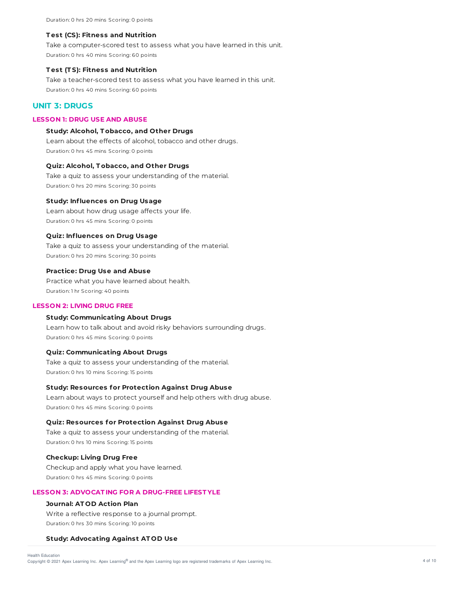#### **T est (CS): Fitness and Nutrition**

Take a computer-scored test to assess what you have learned in this unit. Duration: 0 hrs 40 mins Scoring: 60 points

## **T est (T S): Fitness and Nutrition**

Take a teacher-scored test to assess what you have learned in this unit. Duration: 0 hrs 40 mins Scoring: 60 points

# **UNIT 3: DRUGS**

# **LESSON 1: DRUG USE AND ABUSE**

#### **Study: Alcohol, T obacco, and Other Drugs**

Learn about the effects of alcohol, tobacco and other drugs. Duration: 0 hrs 45 mins Scoring: 0 points

## **Quiz: Alcohol, T obacco, and Other Drugs**

Take a quiz to assess your understanding of the material. Duration: 0 hrs 20 mins Scoring: 30 points

#### **Study: Influences on Drug Usage**

Learn about how drug usage affects your life. Duration: 0 hrs 45 mins Scoring: 0 points

#### **Quiz: Influences on Drug Usage**

Take a quiz to assess your understanding of the material. Duration: 0 hrs 20 mins Scoring: 30 points

#### **Practice: Drug Use and Abuse**

Practice what you have learned about health. Duration: 1 hr Scoring: 40 points

#### **LESSON 2: LIVING DRUG FREE**

# **Study: Communicating About Drugs**

Learn how to talk about and avoid risky behaviors surrounding drugs. Duration: 0 hrs 45 mins Scoring: 0 points

# **Quiz: Communicating About Drugs**

Take a quiz to assess your understanding of the material. Duration: 0 hrs 10 mins Scoring: 15 points

# **Study: Resources for Protection Against Drug Abuse**

Learn about ways to protect yourself and help others with drug abuse. Duration: 0 hrs 45 mins Scoring: 0 points

### **Quiz: Resources for Protection Against Drug Abuse**

Take a quiz to assess your understanding of the material. Duration: 0 hrs 10 mins Scoring: 15 points

#### **Checkup: Living Drug Free**

Checkup and apply what you have learned. Duration: 0 hrs 45 mins Scoring: 0 points

# **LESSON 3: ADVOCAT ING FOR A DRUG-FREE LIFEST YLE**

# **Journal: AT OD Action Plan**

Write a reflective response to a journal prompt. Duration: 0 hrs 30 mins Scoring: 10 points

#### **Study: Advocating Against AT OD Use**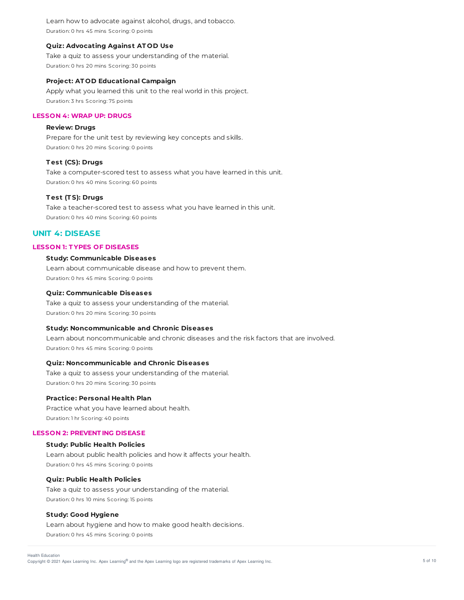Learn how to advocate against alcohol, drugs, and tobacco. Duration: 0 hrs 45 mins Scoring: 0 points

### **Quiz: Advocating Against AT OD Use**

Take a quiz to assess your understanding of the material. Duration: 0 hrs 20 mins Scoring: 30 points

#### **Project: AT OD Educational Campaign**

Apply what you learned this unit to the real world in this project. Duration: 3 hrs Scoring: 75 points

### **LESSON 4: WRAP UP: DRUGS**

### **Review: Drugs**

Prepare for the unit test by reviewing key concepts and skills. Duration: 0 hrs 20 mins Scoring: 0 points

# **T est (CS): Drugs**

Take a computer-scored test to assess what you have learned in this unit. Duration: 0 hrs 40 mins Scoring: 60 points

#### **T est (T S): Drugs**

Take a teacher-scored test to assess what you have learned in this unit. Duration: 0 hrs 40 mins Scoring: 60 points

# **UNIT 4: DISEASE**

# **LESSON 1: T YPES OF DISEASES**

# **Study: Communicable Diseases**

Learn about communicable disease and how to prevent them. Duration: 0 hrs 45 mins Scoring: 0 points

#### **Quiz: Communicable Diseases**

Take a quiz to assess your understanding of the material. Duration: 0 hrs 20 mins Scoring: 30 points

### **Study: Noncommunicable and Chronic Diseases**

Learn about noncommunicable and chronic diseases and the risk factors that are involved. Duration: 0 hrs 45 mins Scoring: 0 points

# **Quiz: Noncommunicable and Chronic Diseases**

Take a quiz to assess your understanding of the material. Duration: 0 hrs 20 mins Scoring: 30 points

## **Practice: Personal Health Plan**

Practice what you have learned about health. Duration: 1 hr Scoring: 40 points

# **LESSON 2: PREVENT ING DISEASE**

# **Study: Public Health Policies**

Learn about public health policies and how it affects your health. Duration: 0 hrs 45 mins Scoring: 0 points

# **Quiz: Public Health Policies**

Take a quiz to assess your understanding of the material. Duration: 0 hrs 10 mins Scoring: 15 points

#### **Study: Good Hygiene**

Learn about hygiene and how to make good health decisions. Duration: 0 hrs 45 mins Scoring: 0 points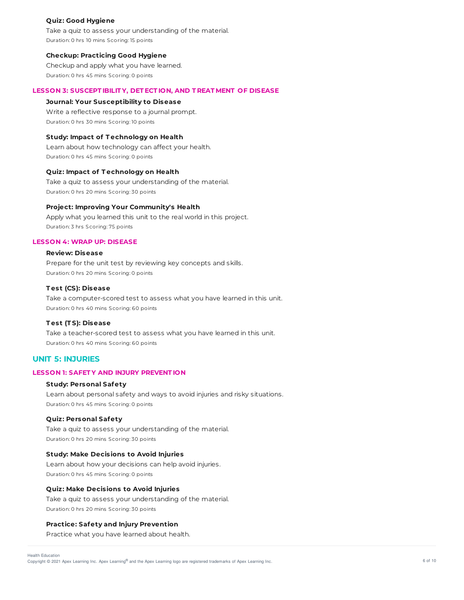### **Quiz: Good Hygiene**

Take a quiz to assess your understanding of the material. Duration: 0 hrs 10 mins Scoring: 15 points

# **Checkup: Practicing Good Hygiene**

Checkup and apply what you have learned. Duration: 0 hrs 45 mins Scoring: 0 points

# **LESSON 3: SUSCEPT IBILIT Y, DET ECT ION, AND T REAT MENT OF DISEASE**

# **Journal: Your Susceptibility to Disease**

Write a reflective response to a journal prompt. Duration: 0 hrs 30 mins Scoring: 10 points

# **Study: Impact of T echnology on Health**

Learn about how technology can affect your health. Duration: 0 hrs 45 mins Scoring: 0 points

# **Quiz: Impact of T echnology on Health**

Take a quiz to assess your understanding of the material. Duration: 0 hrs 20 mins Scoring: 30 points

# **Project: Improving Your Community's Health**

Apply what you learned this unit to the real world in this project. Duration: 3 hrs Scoring: 75 points

# **LESSON 4: WRAP UP: DISEASE**

# **Review: Disease**

Prepare for the unit test by reviewing key concepts and skills. Duration: 0 hrs 20 mins Scoring: 0 points

# **T est (CS): Disease**

Take a computer-scored test to assess what you have learned in this unit. Duration: 0 hrs 40 mins Scoring: 60 points

#### **T est (T S): Disease**

Take a teacher-scored test to assess what you have learned in this unit. Duration: 0 hrs 40 mins Scoring: 60 points

# **UNIT 5: INJURIES**

# **LESSON 1: SAFET Y AND INJURY PREVENT ION**

# **Study: Personal Safety**

Learn about personal safety and ways to avoid injuries and risky situations. Duration: 0 hrs 45 mins Scoring: 0 points

#### **Quiz: Personal Safety**

Take a quiz to assess your understanding of the material. Duration: 0 hrs 20 mins Scoring: 30 points

## **Study: Make Decisions to Avoid Injuries**

Learn about how your decisions can help avoid injuries. Duration: 0 hrs 45 mins Scoring: 0 points

## **Quiz: Make Decisions to Avoid Injuries**

Take a quiz to assess your understanding of the material. Duration: 0 hrs 20 mins Scoring: 30 points

#### **Practice: Safety and Injury Prevention**

Practice what you have learned about health.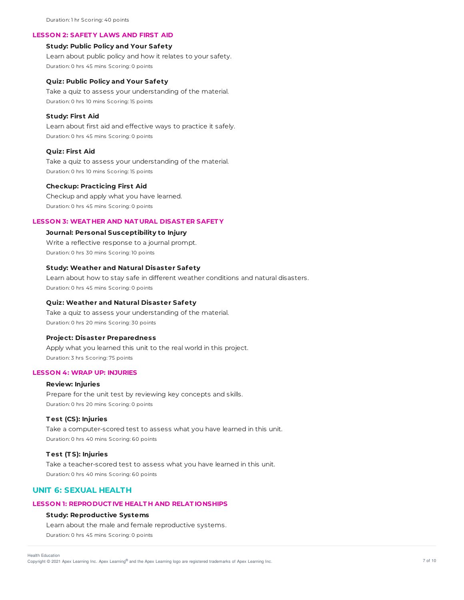Duration: 1 hr Scoring: 40 points

#### **LESSON 2: SAFET Y LAWS AND FIRST AID**

# **Study: Public Policy and Your Safety**

Learn about public policy and how it relates to your safety. Duration: 0 hrs 45 mins Scoring: 0 points

### **Quiz: Public Policy and Your Safety**

Take a quiz to assess your understanding of the material. Duration: 0 hrs 10 mins Scoring: 15 points

## **Study: First Aid**

Learn about first aid and effective ways to practice it safely. Duration: 0 hrs 45 mins Scoring: 0 points

# **Quiz: First Aid**

Take a quiz to assess your understanding of the material. Duration: 0 hrs 10 mins Scoring: 15 points

#### **Checkup: Practicing First Aid**

Checkup and apply what you have learned. Duration: 0 hrs 45 mins Scoring: 0 points

#### **LESSON 3: WEAT HER AND NAT URAL DISAST ER SAFET Y**

# **Journal: Personal Susceptibility to Injury**

Write a reflective response to a journal prompt. Duration: 0 hrs 30 mins Scoring: 10 points

#### **Study: Weather and Natural Disaster Safety**

Learn about how to stay safe in different weather conditions and natural disasters. Duration: 0 hrs 45 mins Scoring: 0 points

## **Quiz: Weather and Natural Disaster Safety**

Take a quiz to assess your understanding of the material. Duration: 0 hrs 20 mins Scoring: 30 points

## **Project: Disaster Preparedness**

Apply what you learned this unit to the real world in this project. Duration: 3 hrs Scoring: 75 points

#### **LESSON 4: WRAP UP: INJURIES**

# **Review: Injuries**

Prepare for the unit test by reviewing key concepts and skills. Duration: 0 hrs 20 mins Scoring: 0 points

#### **T est (CS): Injuries**

Take a computer-scored test to assess what you have learned in this unit. Duration: 0 hrs 40 mins Scoring: 60 points

## **T est (T S): Injuries**

Take a teacher-scored test to assess what you have learned in this unit. Duration: 0 hrs 40 mins Scoring: 60 points

# **UNIT 6: SEXUAL HEALTH**

## **LESSON 1: REPRODUCT IVE HEALT H AND RELAT IONSHIPS**

#### **Study: Reproductive Systems**

Learn about the male and female reproductive systems. Duration: 0 hrs 45 mins Scoring: 0 points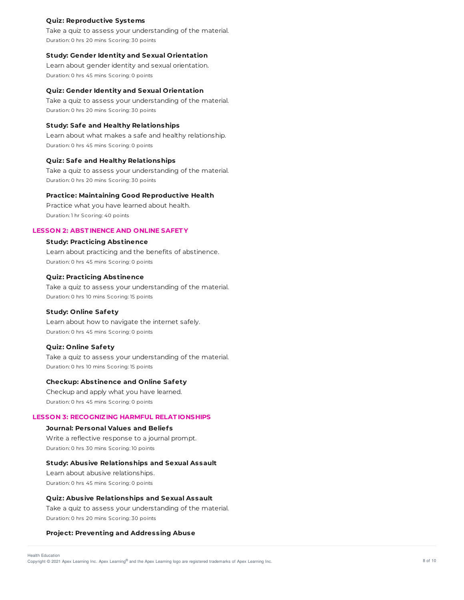## **Quiz: Reproductive Systems**

Take a quiz to assess your understanding of the material. Duration: 0 hrs 20 mins Scoring: 30 points

#### **Study: Gender Identity and Sexual Orientation**

Learn about gender identity and sexual orientation. Duration: 0 hrs 45 mins Scoring: 0 points

#### **Quiz: Gender Identity and Sexual Orientation**

Take a quiz to assess your understanding of the material. Duration: 0 hrs 20 mins Scoring: 30 points

## **Study: Safe and Healthy Relationships**

Learn about what makes a safe and healthy relationship. Duration: 0 hrs 45 mins Scoring: 0 points

# **Quiz: Safe and Healthy Relationships**

Take a quiz to assess your understanding of the material. Duration: 0 hrs 20 mins Scoring: 30 points

#### **Practice: Maintaining Good Reproductive Health**

Practice what you have learned about health. Duration: 1 hr Scoring: 40 points

# **LESSON 2: ABST INENCE AND ONLINE SAFET Y**

## **Study: Practicing Abstinence**

Learn about practicing and the benefits of abstinence. Duration: 0 hrs 45 mins Scoring: 0 points

# **Quiz: Practicing Abstinence**

Take a quiz to assess your understanding of the material. Duration: 0 hrs 10 mins Scoring: 15 points

## **Study: Online Safety**

Learn about how to navigate the internet safely. Duration: 0 hrs 45 mins Scoring: 0 points

#### **Quiz: Online Safety**

Take a quiz to assess your understanding of the material. Duration: 0 hrs 10 mins Scoring: 15 points

#### **Checkup: Abstinence and Online Safety**

Checkup and apply what you have learned. Duration: 0 hrs 45 mins Scoring: 0 points

## **LESSON 3: RECOGNIZING HARMFUL RELAT IONSHIPS**

#### **Journal: Personal Values and Beliefs**

Write a reflective response to a journal prompt. Duration: 0 hrs 30 mins Scoring: 10 points

## **Study: Abusive Relationships and Sexual Assault**

Learn about abusive relationships. Duration: 0 hrs 45 mins Scoring: 0 points

**Quiz: Abusive Relationships and Sexual Assault** Take a quiz to assess your understanding of the material.

Duration: 0 hrs 20 mins Scoring: 30 points

### **Project: Preventing and Addressing Abuse**